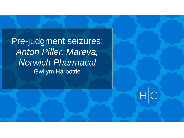Pre-judgment seizures: *Anton Piller, Mareva, Norwich Pharmacal* Gwilym Harbottle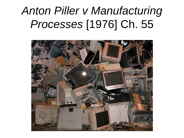# *Anton Piller v Manufacturing Processes* [1976] Ch. 55

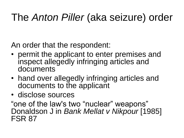#### The *Anton Piller* (aka seizure) order

An order that the respondent:

- permit the applicant to enter premises and inspect allegedly infringing articles and documents
- hand over allegedly infringing articles and documents to the applicant
- disclose sources

"one of the law's two "nuclear" weapons" Donaldson J in *Bank Mellat v Nikpour* [1985] FSR 87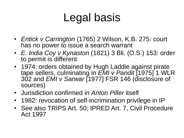# Legal basis

- *Entick v Carrington* (1765) 2 Wilson, K.B. 275: court has no power to issue a search warrant
- *E. India Coy v Kynaston* (1821) 3 Bli. (O.S.) 153: order to permit is different
- 1974: orders obtained by Hugh Laddie against pirate tape sellers, culminating in *EMI v Pandit* [1975] 1 WLR 302 and *EMI v Sarwar* [1977] FSR 146 (disclosure of sources)
- Jurisdiction confirmed in *Anton Piller* itself
- 1982: revocation of self-incrimination privilege in IP
- See also TRIPS Art. 50; IPRED Art. 7, Civil Procedure Act 1997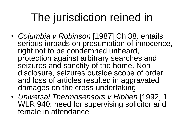# The jurisdiction reined in

- *Columbia v Robinson* [1987] Ch 38: entails serious inroads on presumption of innocence, right not to be condemned unheard, protection against arbitrary searches and seizures and sanctity of the home. Nondisclosure, seizures outside scope of order and loss of articles resulted in aggravated damages on the cross-undertaking
- *Universal Thermosensors v Hibben* [1992] 1 WLR 940: need for supervising solicitor and female in attendance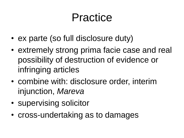# Practice

- ex parte (so full disclosure duty)
- extremely strong prima facie case and real possibility of destruction of evidence or infringing articles
- combine with: disclosure order, interim injunction, *Mareva*
- supervising solicitor
- cross-undertaking as to damages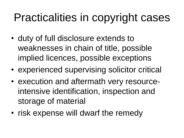# Practicalities in copyright cases

- duty of full disclosure extends to weaknesses in chain of title, possible implied licences, possible exceptions
- experienced supervising solicitor critical
- execution and aftermath very resourceintensive identification, inspection and storage of material
- risk expense will dwarf the remedy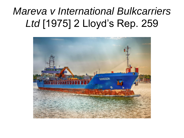#### *Mareva v International Bulkcarriers Ltd* [1975] 2 Lloyd's Rep. 259

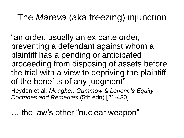#### The *Mareva* (aka freezing) injunction

"an order, usually an ex parte order, preventing a defendant against whom a plaintiff has a pending or anticipated proceeding from disposing of assets before the trial with a view to depriving the plaintiff of the benefits of any judgment"

Heydon et al. *Meagher, Gummow & Lehane's Equity Doctrines and Remedies* (5th edn) [21-430]

… the law's other "nuclear weapon"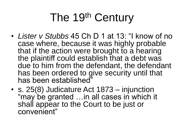# The 19th Century

- *Lister v Stubbs* 45 Ch D 1 at 13: "I know of no case where, because it was highly probable that if the action were brought to a hearing the plaintiff could establish that a debt was due to him from the defendant, the defendant has been ordered to give security until that has been established"
- s. 25(8) Judicature Act 1873 injunction "may be granted …in all cases in which it shall appear to the Court to be just or convenient"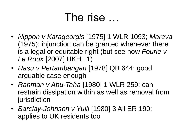#### The rise …

- *Nippon v Karageorgis* [1975] 1 WLR 1093; *Mareva*  (1975): injunction can be granted whenever there is a legal or equitable right (but see now *Fourie v Le Roux* [2007] UKHL 1)
- *Rasu v Pertambangan* [1978] QB 644: good arguable case enough
- *Rahman v Abu-Taha* [1980] 1 WLR 259: can restrain dissipation within as well as removal from jurisdiction
- *Barclay-Johnson v Yuill* [1980] 3 All ER 190: applies to UK residents too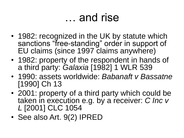### … and rise

- 1982: recognized in the UK by statute which sanctions "free-standing" order in support of EU claims (since 1997 claims anywhere)
- 1982: property of the respondent in hands of a third party: *Galaxia* [1982] 1 WLR 539
- 1990: assets worldwide: *Babanaft v Bassatne*  [1990] Ch 13
- 2001: property of a third party which could be taken in execution e.g. by a receiver: *C Inc v L* [2001] CLC 1054
- See also Art. 9(2) IPRED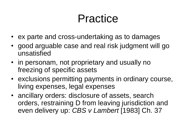### Practice

- ex parte and cross-undertaking as to damages
- good arguable case and real risk judgment will go unsatisfied
- in personam, not proprietary and usually no freezing of specific assets
- exclusions permitting payments in ordinary course, living expenses, legal expenses
- ancillary orders: disclosure of assets, search orders, restraining D from leaving jurisdiction and even delivery up: *CBS v Lambert* [1983] Ch. 37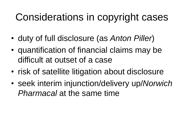#### Considerations in copyright cases

- duty of full disclosure (as *Anton Piller*)
- quantification of financial claims may be difficult at outset of a case
- risk of satellite litigation about disclosure
- seek interim injunction/delivery up/*Norwich*  **Pharmacal at the same time**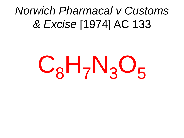# *Norwich Pharmacal v Customs & Excise* [1974] AC 133

# $C_8H_7N_3O_5$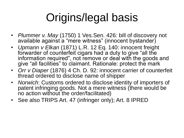# Origins/legal basis

- *Plummer v. May* (1750) 1 Ves.Sen. 426*:* bill of discovery not available against a "mere witness" (innocent bystander)
- *Upmann v Elkan* (1871) L.R. 12 Eq. 140: innocent freight forwarder of counterfeit cigars had a duty to give "all the information required", not remove or deal with the goods and give "all facilities" to claimant. Rationale: protect the mark
- *Orr v Diaper* (1876) 4 Ch. D. 92: innocent carrier of counterfeit thread ordered to disclose name of shipper
- *Norwich*: Customs ordered to disclose identity of importers of patent infringing goods. Not a mere witness (there would be no action without the order/facilitated)
- See also TRIPS Art. 47 (infringer only); Art. 8 IPRED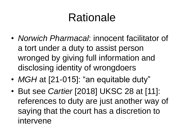# Rationale

- *Norwich Pharmacal*: innocent facilitator of a tort under a duty to assist person wronged by giving full information and disclosing identity of wrongdoers
- *MGH* at [21-015]: "an equitable duty"
- But see *Cartier* [2018] UKSC 28 at [11]: references to duty are just another way of saying that the court has a discretion to intervene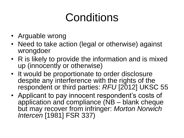# Conditions

- Arguable wrong
- Need to take action (legal or otherwise) against wrongdoer
- R is likely to provide the information and is mixed up (innocently or otherwise)
- It would be proportionate to order disclosure despite any interference with the rights of the respondent or third parties: *RFU* [2012] UKSC 55
- Applicant to pay innocent respondent's costs of application and compliance (NB – blank cheque but may recover from infringer: *Morton Norwich Intercen* [1981] FSR 337)